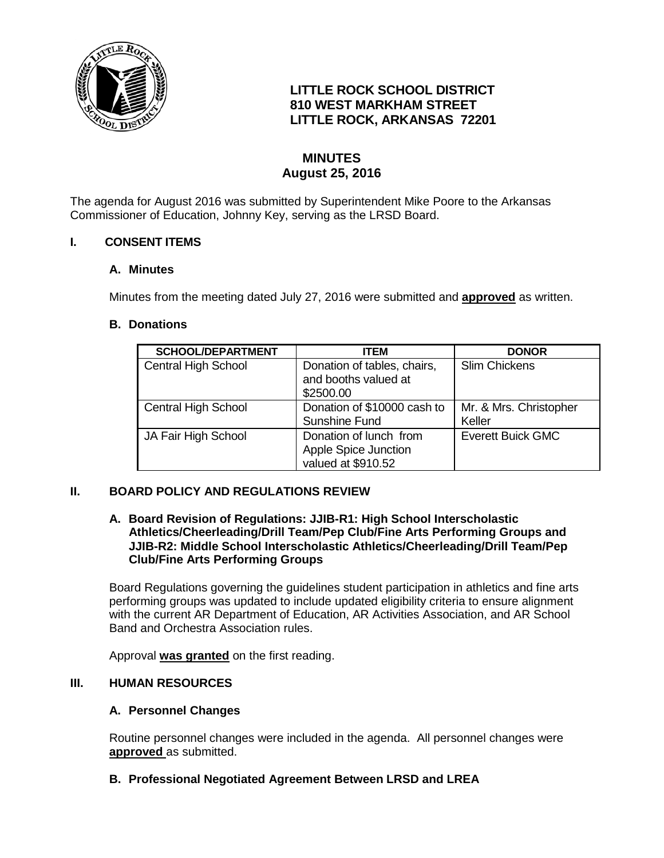

# **LITTLE ROCK SCHOOL DISTRICT 810 WEST MARKHAM STREET LITTLE ROCK, ARKANSAS 72201**

# **MINUTES August 25, 2016**

The agenda for August 2016 was submitted by Superintendent Mike Poore to the Arkansas Commissioner of Education, Johnny Key, serving as the LRSD Board.

# **I. CONSENT ITEMS**

# **A. Minutes**

Minutes from the meeting dated July 27, 2016 were submitted and **approved** as written.

# **B. Donations**

| <b>SCHOOL/DEPARTMENT</b>   | ITEM                                                                 | <b>DONOR</b>                     |
|----------------------------|----------------------------------------------------------------------|----------------------------------|
| <b>Central High School</b> | Donation of tables, chairs,<br>and booths valued at<br>\$2500.00     | <b>Slim Chickens</b>             |
| <b>Central High School</b> | Donation of \$10000 cash to<br>Sunshine Fund                         | Mr. & Mrs. Christopher<br>Keller |
| JA Fair High School        | Donation of lunch from<br>Apple Spice Junction<br>valued at \$910.52 | <b>Everett Buick GMC</b>         |

# **II. BOARD POLICY AND REGULATIONS REVIEW**

#### **A. Board Revision of Regulations: JJIB-R1: High School Interscholastic Athletics/Cheerleading/Drill Team/Pep Club/Fine Arts Performing Groups and JJIB-R2: Middle School Interscholastic Athletics/Cheerleading/Drill Team/Pep Club/Fine Arts Performing Groups**

Board Regulations governing the guidelines student participation in athletics and fine arts performing groups was updated to include updated eligibility criteria to ensure alignment with the current AR Department of Education, AR Activities Association, and AR School Band and Orchestra Association rules.

Approval **was granted** on the first reading.

# **III. HUMAN RESOURCES**

# **A. Personnel Changes**

Routine personnel changes were included in the agenda. All personnel changes were **approved** as submitted.

# **B. Professional Negotiated Agreement Between LRSD and LREA**